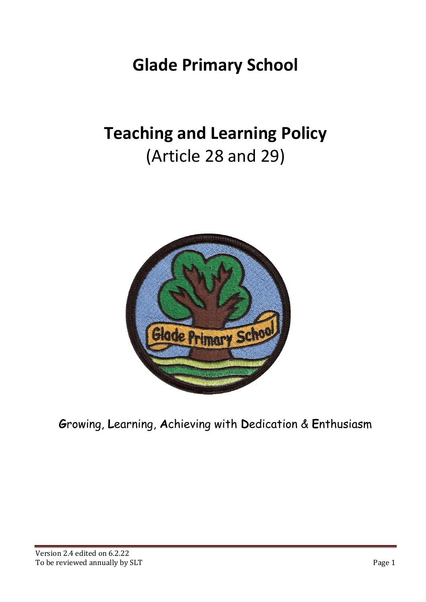## **Glade Primary School**

# **Teaching and Learning Policy** (Article 28 and 29)



**G**rowing, **L**earning, **A**chieving with **D**edication & **E**nthusiasm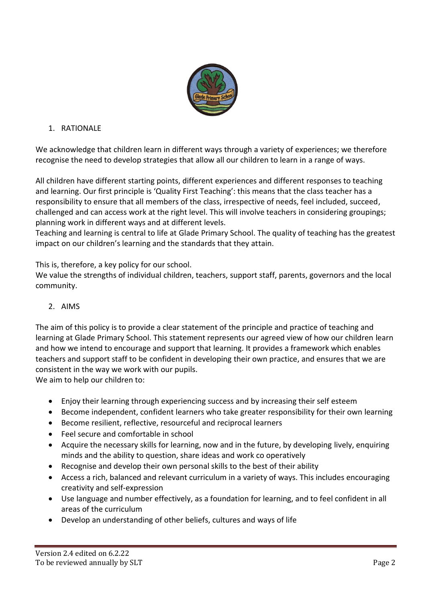

## 1. RATIONALE

We acknowledge that children learn in different ways through a variety of experiences; we therefore recognise the need to develop strategies that allow all our children to learn in a range of ways.

All children have different starting points, different experiences and different responses to teaching and learning. Our first principle is 'Quality First Teaching': this means that the class teacher has a responsibility to ensure that all members of the class, irrespective of needs, feel included, succeed, challenged and can access work at the right level. This will involve teachers in considering groupings; planning work in different ways and at different levels.

Teaching and learning is central to life at Glade Primary School. The quality of teaching has the greatest impact on our children's learning and the standards that they attain.

This is, therefore, a key policy for our school.

We value the strengths of individual children, teachers, support staff, parents, governors and the local community.

## 2. AIMS

The aim of this policy is to provide a clear statement of the principle and practice of teaching and learning at Glade Primary School. This statement represents our agreed view of how our children learn and how we intend to encourage and support that learning. It provides a framework which enables teachers and support staff to be confident in developing their own practice, and ensures that we are consistent in the way we work with our pupils.

We aim to help our children to:

- Enjoy their learning through experiencing success and by increasing their self esteem
- Become independent, confident learners who take greater responsibility for their own learning
- Become resilient, reflective, resourceful and reciprocal learners
- Feel secure and comfortable in school
- Acquire the necessary skills for learning, now and in the future, by developing lively, enquiring minds and the ability to question, share ideas and work co operatively
- Recognise and develop their own personal skills to the best of their ability
- Access a rich, balanced and relevant curriculum in a variety of ways. This includes encouraging creativity and self-expression
- Use language and number effectively, as a foundation for learning, and to feel confident in all areas of the curriculum
- Develop an understanding of other beliefs, cultures and ways of life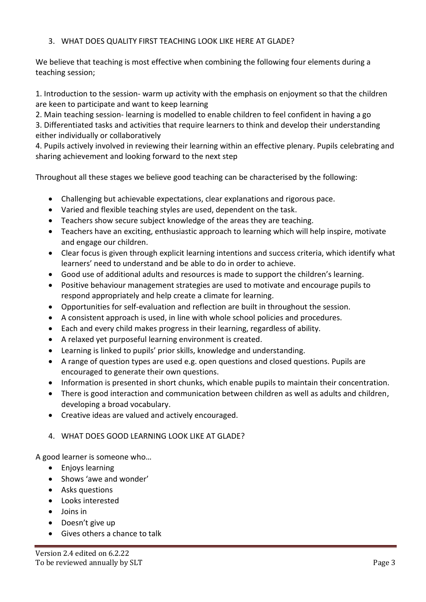## 3. WHAT DOES QUALITY FIRST TEACHING LOOK LIKE HERE AT GLADE?

We believe that teaching is most effective when combining the following four elements during a teaching session;

1. Introduction to the session- warm up activity with the emphasis on enjoyment so that the children are keen to participate and want to keep learning

2. Main teaching session- learning is modelled to enable children to feel confident in having a go 3. Differentiated tasks and activities that require learners to think and develop their understanding either individually or collaboratively

4. Pupils actively involved in reviewing their learning within an effective plenary. Pupils celebrating and sharing achievement and looking forward to the next step

Throughout all these stages we believe good teaching can be characterised by the following:

- Challenging but achievable expectations, clear explanations and rigorous pace.
- Varied and flexible teaching styles are used, dependent on the task.
- Teachers show secure subject knowledge of the areas they are teaching.
- Teachers have an exciting, enthusiastic approach to learning which will help inspire, motivate and engage our children.
- Clear focus is given through explicit learning intentions and success criteria, which identify what learners' need to understand and be able to do in order to achieve.
- Good use of additional adults and resources is made to support the children's learning.
- Positive behaviour management strategies are used to motivate and encourage pupils to respond appropriately and help create a climate for learning.
- Opportunities for self-evaluation and reflection are built in throughout the session.
- A consistent approach is used, in line with whole school policies and procedures.
- Each and every child makes progress in their learning, regardless of ability.
- A relaxed yet purposeful learning environment is created.
- Learning is linked to pupils' prior skills, knowledge and understanding.
- A range of question types are used e.g. open questions and closed questions. Pupils are encouraged to generate their own questions.
- Information is presented in short chunks, which enable pupils to maintain their concentration.
- There is good interaction and communication between children as well as adults and children, developing a broad vocabulary.
- Creative ideas are valued and actively encouraged.
- 4. WHAT DOES GOOD LEARNING LOOK LIKE AT GLADE?

A good learner is someone who…

- Enjoys learning
- Shows 'awe and wonder'
- Asks questions
- Looks interested
- Joins in
- Doesn't give up
- Gives others a chance to talk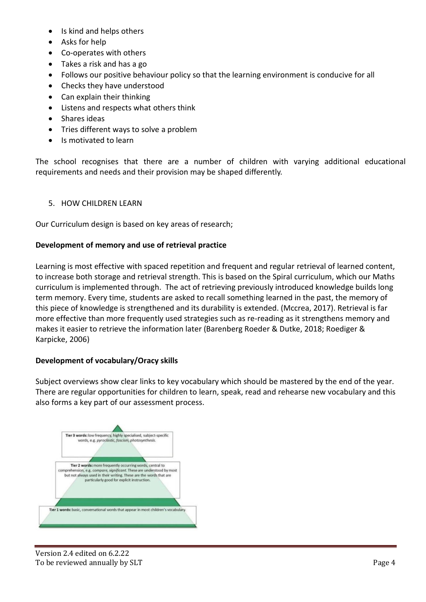- Is kind and helps others
- Asks for help
- Co-operates with others
- Takes a risk and has a go
- Follows our positive behaviour policy so that the learning environment is conducive for all
- Checks they have understood
- Can explain their thinking
- Listens and respects what others think
- Shares ideas
- Tries different ways to solve a problem
- Is motivated to learn

The school recognises that there are a number of children with varying additional educational requirements and needs and their provision may be shaped differently.

## 5. HOW CHILDREN LEARN

Our Curriculum design is based on key areas of research;

## **Development of memory and use of retrieval practice**

Learning is most effective with spaced repetition and frequent and regular retrieval of learned content, to increase both storage and retrieval strength. This is based on the Spiral curriculum, which our Maths curriculum is implemented through. The act of retrieving previously introduced knowledge builds long term memory. Every time, students are asked to recall something learned in the past, the memory of this piece of knowledge is strengthened and its durability is extended. (Mccrea, 2017). Retrieval is far more effective than more frequently used strategies such as re-reading as it strengthens memory and makes it easier to retrieve the information later (Barenberg Roeder & Dutke, 2018; Roediger & Karpicke, 2006)

## **Development of vocabulary/Oracy skills**

Subject overviews show clear links to key vocabulary which should be mastered by the end of the year. There are regular opportunities for children to learn, speak, read and rehearse new vocabulary and this also forms a key part of our assessment process.

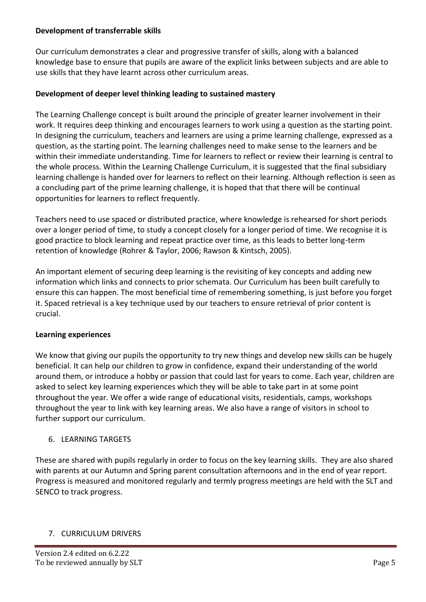## **Development of transferrable skills**

Our curriculum demonstrates a clear and progressive transfer of skills, along with a balanced knowledge base to ensure that pupils are aware of the explicit links between subjects and are able to use skills that they have learnt across other curriculum areas.

## **Development of deeper level thinking leading to sustained mastery**

The Learning Challenge concept is built around the principle of greater learner involvement in their work. It requires deep thinking and encourages learners to work using a question as the starting point. In designing the curriculum, teachers and learners are using a prime learning challenge, expressed as a question, as the starting point. The learning challenges need to make sense to the learners and be within their immediate understanding. Time for learners to reflect or review their learning is central to the whole process. Within the Learning Challenge Curriculum, it is suggested that the final subsidiary learning challenge is handed over for learners to reflect on their learning. Although reflection is seen as a concluding part of the prime learning challenge, it is hoped that that there will be continual opportunities for learners to reflect frequently.

Teachers need to use spaced or distributed practice, where knowledge is rehearsed for short periods over a longer period of time, to study a concept closely for a longer period of time. We recognise it is good practice to block learning and repeat practice over time, as this leads to better long-term retention of knowledge (Rohrer & Taylor, 2006; Rawson & Kintsch, 2005).

An important element of securing deep learning is the revisiting of key concepts and adding new information which links and connects to prior schemata. Our Curriculum has been built carefully to ensure this can happen. The most beneficial time of remembering something, is just before you forget it. Spaced retrieval is a key technique used by our teachers to ensure retrieval of prior content is crucial.

#### **Learning experiences**

We know that giving our pupils the opportunity to try new things and develop new skills can be hugely beneficial. It can help our children to grow in confidence, expand their understanding of the world around them, or introduce a hobby or passion that could last for years to come. Each year, children are asked to select key learning experiences which they will be able to take part in at some point throughout the year. We offer a wide range of educational visits, residentials, camps, workshops throughout the year to link with key learning areas. We also have a range of visitors in school to further support our curriculum.

## 6. LEARNING TARGETS

These are shared with pupils regularly in order to focus on the key learning skills. They are also shared with parents at our Autumn and Spring parent consultation afternoons and in the end of year report. Progress is measured and monitored regularly and termly progress meetings are held with the SLT and SENCO to track progress.

## 7. CURRICULUM DRIVERS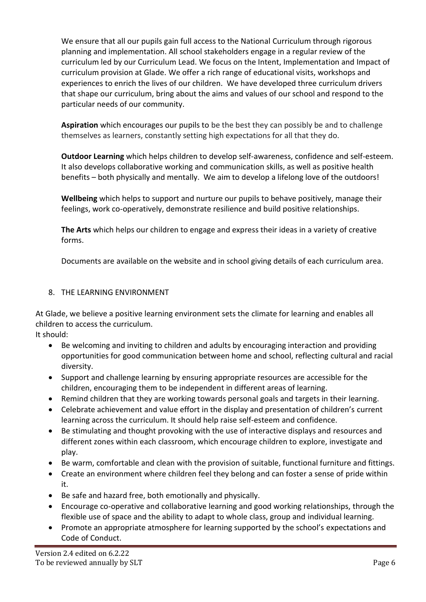We ensure that all our pupils gain full access to the National Curriculum through rigorous planning and implementation. All school stakeholders engage in a regular review of the curriculum led by our Curriculum Lead. We focus on the Intent, Implementation and Impact of curriculum provision at Glade. We offer a rich range of educational visits, workshops and experiences to enrich the lives of our children. We have developed three curriculum drivers that shape our curriculum, bring about the aims and values of our school and respond to the particular needs of our community.

**Aspiration** which encourages our pupils to be the best they can possibly be and to challenge themselves as learners, constantly setting high expectations for all that they do.

**Outdoor Learning** which helps children to develop self-awareness, confidence and self-esteem. It also develops collaborative working and communication skills, as well as positive health benefits – both physically and mentally. We aim to develop a lifelong love of the outdoors!

**Wellbeing** which helps to support and nurture our pupils to behave positively, manage their feelings, work co-operatively, demonstrate resilience and build positive relationships.

**The Arts** which helps our children to engage and express their ideas in a variety of creative forms.

Documents are available on the website and in school giving details of each curriculum area.

## 8. THE LEARNING ENVIRONMENT

At Glade, we believe a positive learning environment sets the climate for learning and enables all children to access the curriculum.

It should:

- Be welcoming and inviting to children and adults by encouraging interaction and providing opportunities for good communication between home and school, reflecting cultural and racial diversity.
- Support and challenge learning by ensuring appropriate resources are accessible for the children, encouraging them to be independent in different areas of learning.
- Remind children that they are working towards personal goals and targets in their learning.
- Celebrate achievement and value effort in the display and presentation of children's current learning across the curriculum. It should help raise self-esteem and confidence.
- Be stimulating and thought provoking with the use of interactive displays and resources and different zones within each classroom, which encourage children to explore, investigate and play.
- Be warm, comfortable and clean with the provision of suitable, functional furniture and fittings.
- Create an environment where children feel they belong and can foster a sense of pride within it.
- Be safe and hazard free, both emotionally and physically.
- Encourage co-operative and collaborative learning and good working relationships, through the flexible use of space and the ability to adapt to whole class, group and individual learning.
- Promote an appropriate atmosphere for learning supported by the school's expectations and Code of Conduct.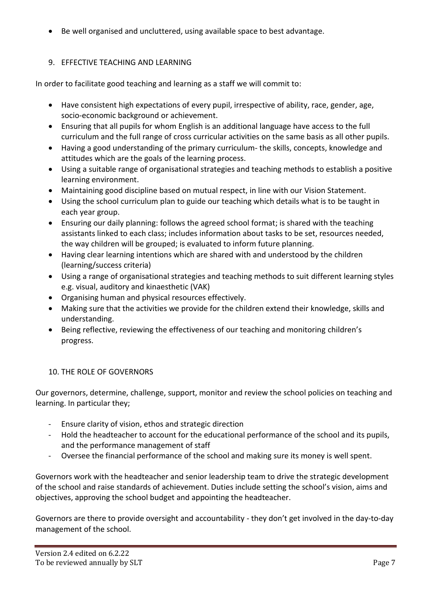• Be well organised and uncluttered, using available space to best advantage.

## 9. EFFECTIVE TEACHING AND LEARNING

In order to facilitate good teaching and learning as a staff we will commit to:

- Have consistent high expectations of every pupil, irrespective of ability, race, gender, age, socio-economic background or achievement.
- Ensuring that all pupils for whom English is an additional language have access to the full curriculum and the full range of cross curricular activities on the same basis as all other pupils.
- Having a good understanding of the primary curriculum- the skills, concepts, knowledge and attitudes which are the goals of the learning process.
- Using a suitable range of organisational strategies and teaching methods to establish a positive learning environment.
- Maintaining good discipline based on mutual respect, in line with our Vision Statement.
- Using the school curriculum plan to guide our teaching which details what is to be taught in each year group.
- Ensuring our daily planning: follows the agreed school format; is shared with the teaching assistants linked to each class; includes information about tasks to be set, resources needed, the way children will be grouped; is evaluated to inform future planning.
- Having clear learning intentions which are shared with and understood by the children (learning/success criteria)
- Using a range of organisational strategies and teaching methods to suit different learning styles e.g. visual, auditory and kinaesthetic (VAK)
- Organising human and physical resources effectively.
- Making sure that the activities we provide for the children extend their knowledge, skills and understanding.
- Being reflective, reviewing the effectiveness of our teaching and monitoring children's progress.

## 10. THE ROLE OF GOVERNORS

Our governors, determine, challenge, support, monitor and review the school policies on teaching and learning. In particular they;

- Ensure clarity of vision, ethos and strategic direction
- Hold the headteacher to account for the educational performance of the school and its pupils, and the performance management of staff
- Oversee the financial performance of the school and making sure its money is well spent.

Governors work with the headteacher and senior leadership team to drive the strategic development of the school and raise standards of achievement. Duties include setting the school's vision, aims and objectives, approving the school budget and appointing the headteacher.

Governors are there to provide oversight and accountability - they don't get involved in the day-to-day management of the school.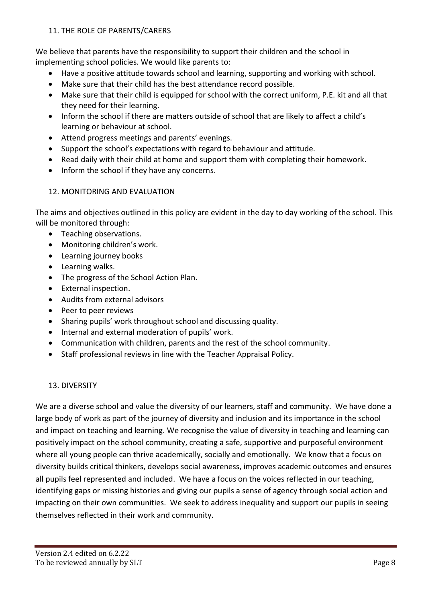## 11. THE ROLE OF PARENTS/CARERS

We believe that parents have the responsibility to support their children and the school in implementing school policies. We would like parents to:

- Have a positive attitude towards school and learning, supporting and working with school.
- Make sure that their child has the best attendance record possible.
- Make sure that their child is equipped for school with the correct uniform, P.E. kit and all that they need for their learning.
- Inform the school if there are matters outside of school that are likely to affect a child's learning or behaviour at school.
- Attend progress meetings and parents' evenings.
- Support the school's expectations with regard to behaviour and attitude.
- Read daily with their child at home and support them with completing their homework.
- Inform the school if they have any concerns.

## 12. MONITORING AND EVALUATION

The aims and objectives outlined in this policy are evident in the day to day working of the school. This will be monitored through:

- Teaching observations.
- Monitoring children's work.
- Learning journey books
- Learning walks.
- The progress of the School Action Plan.
- External inspection.
- Audits from external advisors
- Peer to peer reviews
- Sharing pupils' work throughout school and discussing quality.
- Internal and external moderation of pupils' work.
- Communication with children, parents and the rest of the school community.
- Staff professional reviews in line with the Teacher Appraisal Policy.

#### 13. DIVERSITY

We are a diverse school and value the diversity of our learners, staff and community. We have done a large body of work as part of the journey of diversity and inclusion and its importance in the school and impact on teaching and learning. We recognise the value of diversity in teaching and learning can positively impact on the school community, creating a safe, supportive and purposeful environment where all young people can thrive academically, socially and emotionally. We know that a focus on diversity builds critical thinkers, develops social awareness, improves academic outcomes and ensures all pupils feel represented and included. We have a focus on the voices reflected in our teaching, identifying gaps or missing histories and giving our pupils a sense of agency through social action and impacting on their own communities. We seek to address inequality and support our pupils in seeing themselves reflected in their work and community.